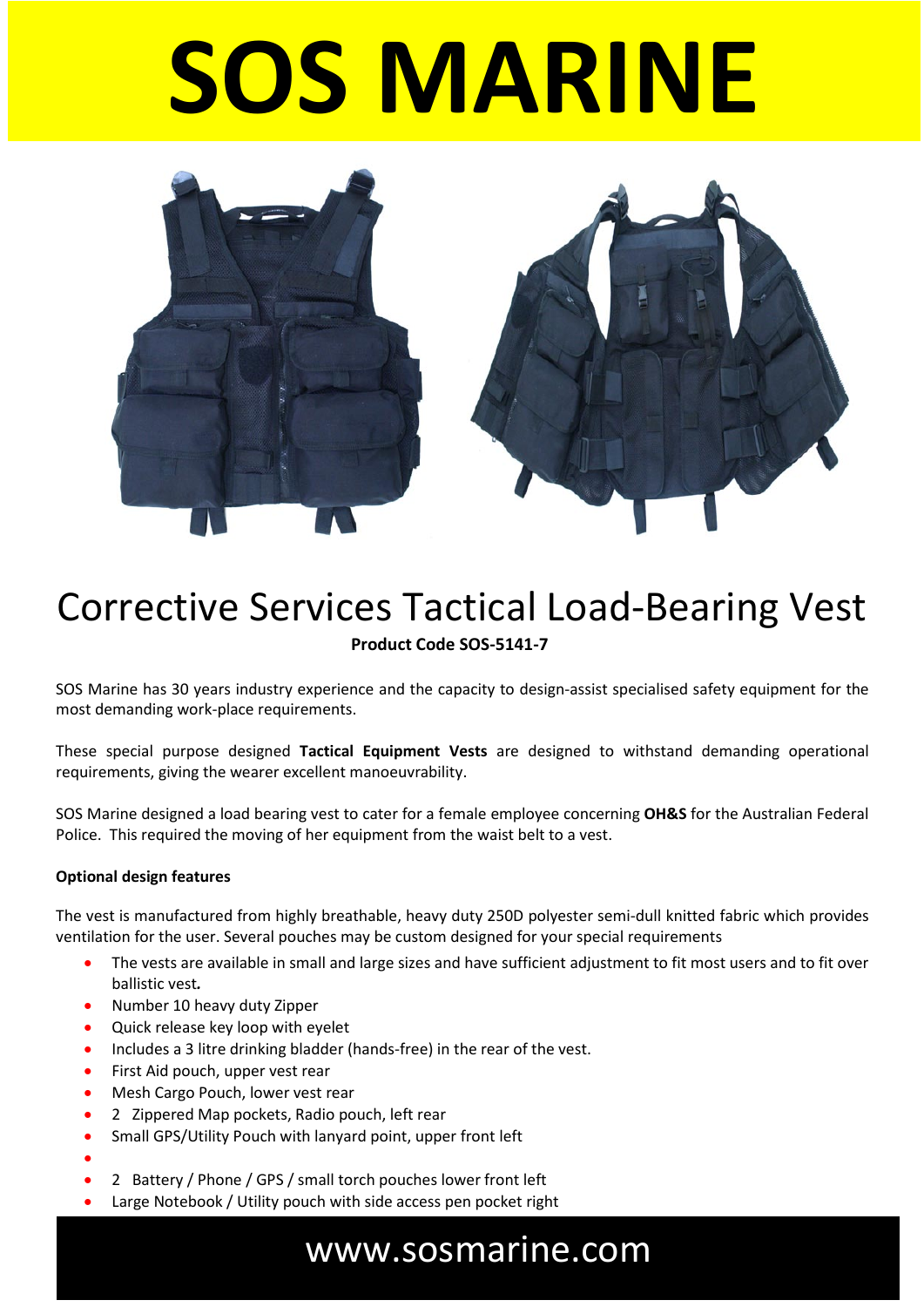# **SOS MARINE**



#### Corrective Services Tactical Load-Bearing Vest **Product Code SOS-5141-7**

SOS Marine has 30 years industry experience and the capacity to design-assist specialised safety equipment for the most demanding work-place requirements.

These special purpose designed **Tactical Equipment Vests** are designed to withstand demanding operational requirements, giving the wearer excellent manoeuvrability.

SOS Marine designed a load bearing vest to cater for a female employee concerning **OH&S** for the Australian Federal Police. This required the moving of her equipment from the waist belt to a vest.

#### **Optional design features**

The vest is manufactured from highly breathable, heavy duty 250D polyester semi-dull knitted fabric which provides ventilation for the user. Several pouches may be custom designed for your special requirements

- The vests are available in small and large sizes and have sufficient adjustment to fit most users and to fit over ballistic vest*.*
- Number 10 heavy duty Zipper
- Quick release key loop with eyelet
- Includes a 3 litre drinking bladder (hands-free) in the rear of the vest.
- First Aid pouch, upper vest rear
- Mesh Cargo Pouch, lower vest rear
- 2 Zippered Map pockets, Radio pouch, left rear
- Small GPS/Utility Pouch with lanyard point, upper front left
- - 2 Battery / Phone / GPS / small torch pouches lower front left
- Large Notebook / Utility pouch with side access pen pocket right

#### www.sosmarine.com